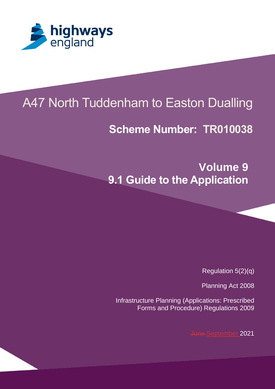

# A47 North Tuddenham to Easton Dualling

## **Scheme Number: TR010038**

**Volume 9 9.1 Guide to the Application**

Regulation 5(2)(q)

Planning Act 2008

Infrastructure Planning (Applications: Prescribed Forms and Procedure) Regulations 2009

June September 2021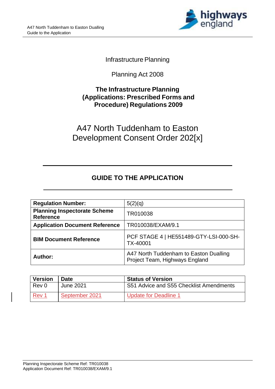

#### Infrastructure Planning

Planning Act 2008

#### **The Infrastructure Planning (Applications: Prescribed Forms and Procedure) Regulations 2009**

A47 North Tuddenham to Easton Development Consent Order 202[x]

### **GUIDE TO THE APPLICATION**

| <b>Regulation Number:</b>                               | 5(2)(q)                                                                  |
|---------------------------------------------------------|--------------------------------------------------------------------------|
| <b>Planning Inspectorate Scheme</b><br><b>Reference</b> | TR010038                                                                 |
| <b>Application Document Reference</b>                   | TR010038/EXAM/9.1                                                        |
| <b>BIM Document Reference</b>                           | PCF STAGE 4   HE551489-GTY-LSI-000-SH-<br>TX-40001                       |
| Author:                                                 | A47 North Tuddenham to Easton Dualling<br>Project Team, Highways England |

| <b>Version</b> | Date           | <b>Status of Version</b>                |
|----------------|----------------|-----------------------------------------|
| Rev 0          | June 2021      | S51 Advice and S55 Checklist Amendments |
| <u>Rev 1</u>   | September 2021 | Update for Deadline 1                   |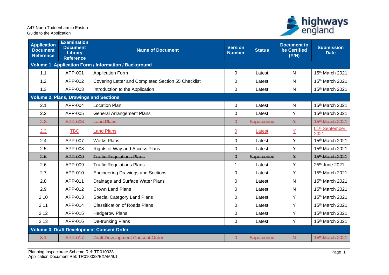

| <b>Application</b><br><b>Document</b><br><b>Reference</b> | <b>Examination</b><br><b>Document</b><br>Library<br><b>Reference</b> | <b>Name of Document</b>                                      | <b>Version</b><br><b>Number</b> | <b>Status</b> | <b>Document to</b><br>be Certified<br>(Y/N) | <b>Submission</b><br><b>Date</b>   |
|-----------------------------------------------------------|----------------------------------------------------------------------|--------------------------------------------------------------|---------------------------------|---------------|---------------------------------------------|------------------------------------|
|                                                           |                                                                      | <b>Volume 1. Application Form / Information / Background</b> |                                 |               |                                             |                                    |
| 1.1                                                       | APP-001                                                              | <b>Application Form</b>                                      | 0                               | Latest        | N                                           | 15th March 2021                    |
| 1.2                                                       | APP-002                                                              | Covering Letter and Completed Section 55 Checklist           | 0                               | Latest        | N                                           | 15th March 2021                    |
| 1.3                                                       | APP-003                                                              | Introduction to the Application                              | 0                               | Latest        | N                                           | 15th March 2021                    |
|                                                           | <b>Volume 2. Plans, Drawings and Sections</b>                        |                                                              |                                 |               |                                             |                                    |
| 2.1                                                       | APP-004                                                              | <b>Location Plan</b>                                         | 0                               | Latest        | N                                           | 15th March 2021                    |
| 2.2                                                       | APP-005                                                              | <b>General Arrangement Plans</b>                             | $\Omega$                        | Latest        | Y                                           | 15th March 2021                    |
| 2.3                                                       | APP-006                                                              | <b>Land Plans</b>                                            | $\underline{\theta}$            | Superceded    | ¥                                           | 45 <sup>th</sup> -March 2021       |
| 2.3                                                       | <b>TBC</b>                                                           | <b>Land Plans</b>                                            | $\underline{0}$                 | Latest        | $\underline{Y}$                             | 01 <sup>st</sup> September<br>2021 |
| 2.4                                                       | APP-007                                                              | <b>Works Plans</b>                                           | 0                               | Latest        | Y                                           | 15th March 2021                    |
| 2.5                                                       | APP-008                                                              | Rights of Way and Access Plans                               | 0                               | Latest        | Y                                           | 15th March 2021                    |
| 2.6                                                       | APP-009                                                              | <b>Traffic Regulations Plans</b>                             | $\theta$                        | Superceded    | ¥                                           | 15 <sup>th</sup> March 2021        |
| 2.6                                                       | APP-009                                                              | <b>Traffic Regulations Plans</b>                             | 1                               | Latest        | Y                                           | 25th June 2021                     |
| 2.7                                                       | APP-010                                                              | <b>Engineering Drawings and Sections</b>                     | $\mathbf 0$                     | Latest        | Y                                           | 15th March 2021                    |
| 2.8                                                       | APP-011                                                              | Drainage and Surface Water Plans                             | 0                               | Latest        | N                                           | 15th March 2021                    |
| 2.9                                                       | APP-012                                                              | <b>Crown Land Plans</b>                                      | $\pmb{0}$                       | Latest        | N                                           | 15th March 2021                    |
| 2.10                                                      | APP-013                                                              | Special Category Land Plans                                  | $\pmb{0}$                       | Latest        | Y                                           | 15th March 2021                    |
| 2.11                                                      | APP-014                                                              | <b>Classification of Roads Plans</b>                         | $\pmb{0}$                       | Latest        | Y                                           | 15th March 2021                    |
| 2.12                                                      | APP-015                                                              | <b>Hedgerow Plans</b>                                        | $\pmb{0}$                       | Latest        | Y                                           | 15th March 2021                    |
| 2.13                                                      | APP-016                                                              | De-trunking Plans                                            | $\mathbf 0$                     | Latest        | Y                                           | 15th March 2021                    |
|                                                           |                                                                      | <b>Volume 3. Draft Development Consent Order</b>             |                                 |               |                                             |                                    |
| $\frac{3.1}{2}$                                           | <b>APP-017</b>                                                       | <b>Draft Development Consent Order</b>                       | $\overline{\theta}$             | Superceded    | <u> 쓰</u>                                   | 45 <sup>th</sup> -March 2021       |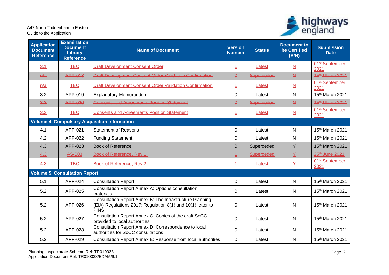

| <b>Application</b><br><b>Document</b><br><b>Reference</b> | <b>Examination</b><br><b>Document</b><br><b>Library</b><br><b>Reference</b> | <b>Name of Document</b>                                                                                                                | <b>Version</b><br><b>Number</b> | <b>Status</b> | <b>Document to</b><br>be Certified<br>(Y/N) | <b>Submission</b><br><b>Date</b>   |
|-----------------------------------------------------------|-----------------------------------------------------------------------------|----------------------------------------------------------------------------------------------------------------------------------------|---------------------------------|---------------|---------------------------------------------|------------------------------------|
| 3.1                                                       | <b>TBC</b>                                                                  | <b>Draft Development Consent Order</b>                                                                                                 | $\overline{1}$                  | Latest        | $\underline{\mathsf{N}}$                    | 01 <sup>st</sup> September<br>2021 |
| $\frac{h}{a}$                                             | <b>APP-018</b>                                                              | <b>Draft Development Consent Order Validation Confirmation</b>                                                                         | $\underline{\Theta}$            | Superceded    | $\underline{A}$                             | 45 <sup>th</sup> -March 2021       |
| n/a                                                       | <b>TBC</b>                                                                  | <b>Draft Development Consent Order Validation Confirmation</b>                                                                         | $\overline{1}$                  | Latest        | $\underline{\mathsf{N}}$                    | 01 <sup>st</sup> September<br>2021 |
| 3.2                                                       | APP-019                                                                     | <b>Explanatory Memorandum</b>                                                                                                          | $\pmb{0}$                       | Latest        | N                                           | 15th March 2021                    |
| $\frac{3.3}{ }$                                           | <b>APP-020</b>                                                              | <b>Consents and Agreements Position Statement</b>                                                                                      | $\underline{\Theta}$            | Superceded    | $\underline{\mathbf{M}}$                    | 45 <sup>th</sup> -March 2021       |
| 3.3                                                       | <b>TBC</b>                                                                  | <b>Consents and Agreements Position Statement</b>                                                                                      | $\overline{1}$                  | Latest        | $\underline{\mathsf{N}}$                    | 01 <sup>st</sup> September<br>2021 |
|                                                           |                                                                             | <b>Volume 4. Compulsory Acquisition Information</b>                                                                                    |                                 |               |                                             |                                    |
| 4.1                                                       | APP-021                                                                     | <b>Statement of Reasons</b>                                                                                                            | $\mathbf 0$                     | Latest        | $\mathsf{N}$                                | 15th March 2021                    |
| 4.2                                                       | APP-022                                                                     | <b>Funding Statement</b>                                                                                                               | $\pmb{0}$                       | Latest        | $\mathsf{N}$                                | 15th March 2021                    |
| 4.3                                                       | APP-023                                                                     | Book of Reference                                                                                                                      | $\pmb{\Theta}$                  | Superceded    | $\mathsf{Y}$                                | 15 <sup>th</sup> March 2021        |
| 4.3                                                       | AS-003                                                                      | Book of Reference, Rev.1                                                                                                               | $\pm$                           | Superceded    | ¥                                           | 25 <sup>th</sup> -June 2021        |
| 4.3                                                       | <b>TBC</b>                                                                  | Book of Reference, Rev.2                                                                                                               | $\overline{1}$                  | Latest        | $\underline{Y}$                             | 01 <sup>st</sup> September<br>2021 |
|                                                           | <b>Volume 5. Consultation Report</b>                                        |                                                                                                                                        |                                 |               |                                             |                                    |
| 5.1                                                       | APP-024                                                                     | <b>Consultation Report</b>                                                                                                             | $\pmb{0}$                       | Latest        | ${\sf N}$                                   | 15th March 2021                    |
| 5.2                                                       | APP-025                                                                     | <b>Consultation Report Annex A: Options consultation</b><br>materials                                                                  | 0                               | Latest        | $\mathsf{N}$                                | 15th March 2021                    |
| 5.2                                                       | APP-026                                                                     | Consultation Report Annex B: The Infrastructure Planning<br>(EIA) Regulations 2017: Regulation 8(1) and 10(1) letter to<br><b>PINS</b> | 0                               | Latest        | $\mathsf{N}$                                | 15 <sup>th</sup> March 2021        |
| 5.2                                                       | APP-027                                                                     | Consultation Report Annex C: Copies of the draft SoCC<br>provided to local authorities                                                 | $\overline{0}$                  | Latest        | $\mathsf{N}$                                | 15th March 2021                    |
| 5.2                                                       | APP-028                                                                     | Consultation Report Annex D: Correspondence to local<br>authorities for SoCC consultations                                             | 0                               | Latest        | N                                           | 15th March 2021                    |
| 5.2                                                       | APP-029                                                                     | Consultation Report Annex E: Response from local authorities                                                                           | $\pmb{0}$                       | Latest        | ${\sf N}$                                   | 15th March 2021                    |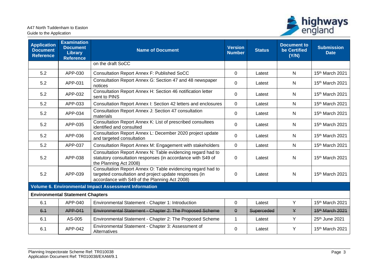

| <b>Application</b><br><b>Document</b><br><b>Reference</b> | <b>Examination</b><br><b>Document</b><br><b>Library</b><br><b>Reference</b> | <b>Name of Document</b>                                                                                                                                                | <b>Version</b><br><b>Number</b> | <b>Status</b> | <b>Document to</b><br>be Certified<br>(Y/N) | <b>Submission</b><br><b>Date</b> |
|-----------------------------------------------------------|-----------------------------------------------------------------------------|------------------------------------------------------------------------------------------------------------------------------------------------------------------------|---------------------------------|---------------|---------------------------------------------|----------------------------------|
|                                                           |                                                                             | on the draft SoCC                                                                                                                                                      |                                 |               |                                             |                                  |
| 5.2                                                       | APP-030                                                                     | <b>Consultation Report Annex F: Published SoCC</b>                                                                                                                     | $\mathbf 0$                     | Latest        | N                                           | 15th March 2021                  |
| 5.2                                                       | APP-031                                                                     | Consultation Report Annex G: Section 47 and 48 newspaper<br>notices                                                                                                    | $\mathbf 0$                     | Latest        | N                                           | 15th March 2021                  |
| 5.2                                                       | APP-032                                                                     | Consultation Report Annex H: Section 46 notification letter<br>sent to PINS                                                                                            | 0                               | Latest        | N                                           | 15th March 2021                  |
| 5.2                                                       | APP-033                                                                     | Consultation Report Annex I: Section 42 letters and enclosures                                                                                                         | $\overline{0}$                  | Latest        | N                                           | 15th March 2021                  |
| 5.2                                                       | APP-034                                                                     | Consultation Report Annex J: Section 47 consultation<br>materials                                                                                                      | $\Omega$                        | Latest        | N                                           | $15th$ March 2021                |
| 5.2                                                       | APP-035                                                                     | Consultation Report Annex K: List of prescribed consultees<br>identified and consulted                                                                                 | 0                               | Latest        | N                                           | 15th March 2021                  |
| 5.2                                                       | APP-036                                                                     | Consultation Report Annex L: December 2020 project update<br>and targeted consultation                                                                                 | 0                               | Latest        | N                                           | 15th March 2021                  |
| 5.2                                                       | APP-037                                                                     | Consultation Report Annex M: Engagement with stakeholders                                                                                                              | $\mathbf 0$                     | Latest        | N                                           | 15th March 2021                  |
| 5.2                                                       | APP-038                                                                     | Consultation Report Annex N: Table evidencing regard had to<br>statutory consultation responses (in accordance with S49 of<br>the Planning Act 2008)                   | 0                               | Latest        | N                                           | 15 <sup>th</sup> March 2021      |
| 5.2                                                       | APP-039                                                                     | Consultation Report Annex O: Table evidencing regard had to<br>targeted consultation and project update responses (in<br>accordance with S49 of the Planning Act 2008) | $\pmb{0}$                       | Latest        | N                                           | 15th March 2021                  |
|                                                           |                                                                             | <b>Volume 6. Environmental Impact Assessment Information</b>                                                                                                           |                                 |               |                                             |                                  |
|                                                           | <b>Environmental Statement Chapters</b>                                     |                                                                                                                                                                        |                                 |               |                                             |                                  |
| 6.1                                                       | APP-040                                                                     | Environmental Statement - Chapter 1: Introduction                                                                                                                      | $\mathbf 0$                     | Latest        | Y                                           | 15th March 2021                  |
| 6.1                                                       | APP-041                                                                     | Environmental Statement - Chapter 2: The Proposed Scheme                                                                                                               | $\pmb{\Theta}$                  | Superceded    | $\mathsf{Y}$                                | 15 <sup>th</sup> March 2021      |
| 6.1                                                       | AS-005                                                                      | Environmental Statement - Chapter 2: The Proposed Scheme                                                                                                               | 1                               | Latest        | Y                                           | 25th June 2021                   |
| 6.1                                                       | APP-042                                                                     | Environmental Statement - Chapter 3: Assessment of<br>Alternatives                                                                                                     | $\mathbf 0$                     | Latest        | Y                                           | 15th March 2021                  |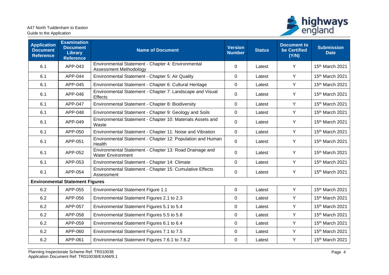

| <b>Application</b><br><b>Document</b><br><b>Reference</b> | <b>Examination</b><br><b>Document</b><br><b>Library</b><br><b>Reference</b> | <b>Name of Document</b>                                                             | <b>Version</b><br><b>Number</b> | <b>Status</b> | <b>Document to</b><br>be Certified<br>(Y/N) | <b>Submission</b><br><b>Date</b> |
|-----------------------------------------------------------|-----------------------------------------------------------------------------|-------------------------------------------------------------------------------------|---------------------------------|---------------|---------------------------------------------|----------------------------------|
| 6.1                                                       | APP-043                                                                     | Environmental Statement - Chapter 4: Environmental<br><b>Assessment Methodology</b> | 0                               | Latest        | Y                                           | 15th March 2021                  |
| 6.1                                                       | APP-044                                                                     | Environmental Statement - Chapter 5: Air Quality                                    | 0                               | Latest        | Y                                           | 15th March 2021                  |
| 6.1                                                       | APP-045                                                                     | Environmental Statement - Chapter 6: Cultural Heritage                              | 0                               | Latest        | Y                                           | 15th March 2021                  |
| 6.1                                                       | APP-046                                                                     | Environmental Statement - Chapter 7: Landscape and Visual<br>Effects                | 0                               | Latest        | Y                                           | 15th March 2021                  |
| 6.1                                                       | APP-047                                                                     | Environmental Statement - Chapter 8: Biodiversity                                   | $\overline{0}$                  | Latest        | Y                                           | 15th March 2021                  |
| 6.1                                                       | APP-048                                                                     | Environmental Statement - Chapter 9: Geology and Soils                              | 0                               | Latest        | Y                                           | 15th March 2021                  |
| 6.1                                                       | APP-049                                                                     | Environmental Statement - Chapter 10: Materials Assets and<br>Waste                 | 0                               | Latest        | Y                                           | 15th March 2021                  |
| 6.1                                                       | APP-050                                                                     | Environmental Statement - Chapter 11: Noise and Vibration                           | 0                               | Latest        | Y                                           | 15th March 2021                  |
| 6.1                                                       | APP-051                                                                     | Environmental Statement - Chapter 12: Population and Human<br>Health                | 0                               | Latest        | Y                                           | 15th March 2021                  |
| 6.1                                                       | APP-052                                                                     | Environmental Statement - Chapter 13: Road Drainage and<br><b>Water Environment</b> | 0                               | Latest        | Y                                           | 15th March 2021                  |
| 6.1                                                       | APP-053                                                                     | Environmental Statement - Chapter 14: Climate                                       | 0                               | Latest        | Y                                           | 15th March 2021                  |
| 6.1                                                       | APP-054                                                                     | Environmental Statement - Chapter 15: Cumulative Effects<br>Assessment              | 0                               | Latest        | Y                                           | 15th March 2021                  |
|                                                           | <b>Environmental Statement Figures</b>                                      |                                                                                     |                                 |               |                                             |                                  |
| 6.2                                                       | APP-055                                                                     | <b>Environmental Statement Figure 1.1</b>                                           | 0                               | Latest        | Y                                           | 15th March 2021                  |
| 6.2                                                       | APP-056                                                                     | Environmental Statement Figures 2.1 to 2.3                                          | 0                               | Latest        | Y                                           | 15th March 2021                  |
| 6.2                                                       | APP-057                                                                     | Environmental Statement Figures 5.1 to 5.4                                          | 0                               | Latest        | Y                                           | 15th March 2021                  |
| 6.2                                                       | APP-058                                                                     | Environmental Statement Figures 5.5 to 5.8                                          | 0                               | Latest        | Y                                           | 15th March 2021                  |
| 6.2                                                       | APP-059                                                                     | Environmental Statement Figures 6.1 to 6.4                                          | 0                               | Latest        | Y                                           | 15th March 2021                  |
| 6.2                                                       | APP-060                                                                     | Environmental Statement Figures 7.1 to 7.5                                          | 0                               | Latest        | Y                                           | 15th March 2021                  |
| 6.2                                                       | APP-061                                                                     | Environmental Statement Figures 7.6.1 to 7.6.2                                      | 0                               | Latest        | Υ                                           | 15th March 2021                  |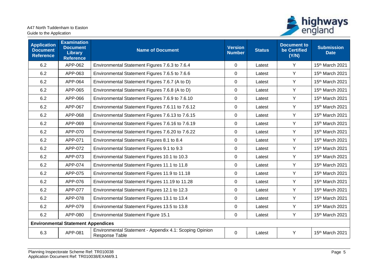

| <b>Application</b><br><b>Document</b><br><b>Reference</b> | <b>Examination</b><br><b>Document</b><br><b>Library</b><br><b>Reference</b> | <b>Name of Document</b>                                                   | <b>Version</b><br><b>Number</b> | <b>Status</b> | <b>Document to</b><br>be Certified<br>(Y/N) | <b>Submission</b><br><b>Date</b> |
|-----------------------------------------------------------|-----------------------------------------------------------------------------|---------------------------------------------------------------------------|---------------------------------|---------------|---------------------------------------------|----------------------------------|
| 6.2                                                       | APP-062                                                                     | Environmental Statement Figures 7.6.3 to 7.6.4                            | 0                               | Latest        | Y                                           | 15th March 2021                  |
| 6.2                                                       | APP-063                                                                     | Environmental Statement Figures 7.6.5 to 7.6.6                            | $\Omega$                        | Latest        | Y                                           | 15th March 2021                  |
| 6.2                                                       | APP-064                                                                     | Environmental Statement Figures 7.6.7 (A to D)                            | $\mathbf 0$                     | Latest        | Y                                           | 15th March 2021                  |
| 6.2                                                       | APP-065                                                                     | Environmental Statement Figures 7.6.8 (A to D)                            | $\mathbf 0$                     | Latest        | Y                                           | 15th March 2021                  |
| 6.2                                                       | APP-066                                                                     | Environmental Statement Figures 7.6.9 to 7.6.10                           | $\mathbf 0$                     | Latest        | Y                                           | 15th March 2021                  |
| 6.2                                                       | APP-067                                                                     | Environmental Statement Figures 7.6.11 to 7.6.12                          | $\mathbf 0$                     | Latest        | Y                                           | 15th March 2021                  |
| 6.2                                                       | APP-068                                                                     | Environmental Statement Figures 7.6.13 to 7.6.15                          | $\pmb{0}$                       | Latest        | Y                                           | 15th March 2021                  |
| 6.2                                                       | APP-069                                                                     | Environmental Statement Figures 7.6.16 to 7.6.19                          | 0                               | Latest        | Y                                           | 15th March 2021                  |
| 6.2                                                       | APP-070                                                                     | Environmental Statement Figures 7.6.20 to 7.6.22                          | 0                               | Latest        | Y                                           | 15th March 2021                  |
| 6.2                                                       | APP-071                                                                     | Environmental Statement Figures 8.1 to 8.4                                | $\pmb{0}$                       | Latest        | Y                                           | 15th March 2021                  |
| 6.2                                                       | APP-072                                                                     | Environmental Statement Figures 9.1 to 9.3                                | 0                               | Latest        | Y                                           | 15th March 2021                  |
| 6.2                                                       | APP-073                                                                     | Environmental Statement Figures 10.1 to 10.3                              | $\mathbf 0$                     | Latest        | Y                                           | 15th March 2021                  |
| 6.2                                                       | APP-074                                                                     | Environmental Statement Figures 11.1 to 11.8                              | $\mathbf 0$                     | Latest        | Y                                           | 15th March 2021                  |
| 6.2                                                       | APP-075                                                                     | Environmental Statement Figures 11.9 to 11.18                             | 0                               | Latest        | Y                                           | 15th March 2021                  |
| 6.2                                                       | APP-076                                                                     | Environmental Statement Figures 11.19 to 11.28                            | 0                               | Latest        | Y                                           | 15th March 2021                  |
| 6.2                                                       | APP-077                                                                     | Environmental Statement Figures 12.1 to 12.3                              | $\mathbf 0$                     | Latest        | Y                                           | 15th March 2021                  |
| 6.2                                                       | APP-078                                                                     | Environmental Statement Figures 13.1 to 13.4                              | $\pmb{0}$                       | Latest        | Y                                           | 15th March 2021                  |
| 6.2                                                       | APP-079                                                                     | Environmental Statement Figures 13.5 to 13.8                              | 0                               | Latest        | Y                                           | 15th March 2021                  |
| 6.2                                                       | APP-080                                                                     | Environmental Statement Figure 15.1                                       | 0                               | Latest        | Y                                           | 15th March 2021                  |
|                                                           | <b>Environmental Statement Appendices</b>                                   |                                                                           |                                 |               |                                             |                                  |
| 6.3                                                       | APP-081                                                                     | Environmental Statement - Appendix 4.1: Scoping Opinion<br>Response Table | 0                               | Latest        | Y                                           | 15th March 2021                  |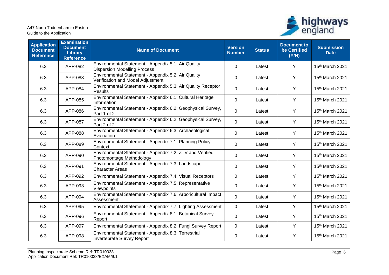

| <b>Application</b><br><b>Document</b><br><b>Reference</b> | <b>Examination</b><br><b>Document</b><br><b>Library</b><br><b>Reference</b> | <b>Name of Document</b>                                                                    | <b>Version</b><br><b>Number</b> | <b>Status</b> | <b>Document to</b><br>be Certified<br>(Y/N) | <b>Submission</b><br><b>Date</b> |
|-----------------------------------------------------------|-----------------------------------------------------------------------------|--------------------------------------------------------------------------------------------|---------------------------------|---------------|---------------------------------------------|----------------------------------|
| 6.3                                                       | APP-082                                                                     | Environmental Statement - Appendix 5.1: Air Quality<br><b>Dispersion Modelling Process</b> | $\overline{0}$                  | Latest        | Y                                           | 15 <sup>th</sup> March 2021      |
| 6.3                                                       | APP-083                                                                     | Environmental Statement - Appendix 5.2: Air Quality<br>Verification and Model Adjustment   | 0                               | Latest        | Y                                           | 15th March 2021                  |
| 6.3                                                       | APP-084                                                                     | Environmental Statement - Appendix 5.3: Air Quality Receptor<br><b>Results</b>             | 0                               | Latest        | Y                                           | 15th March 2021                  |
| 6.3                                                       | APP-085                                                                     | Environmental Statement - Appendix 6.1: Cultural Heritage<br>Information                   | 0                               | Latest        | Y                                           | 15th March 2021                  |
| 6.3                                                       | APP-086                                                                     | Environmental Statement - Appendix 6.2: Geophysical Survey,<br>Part 1 of 2                 | $\overline{0}$                  | Latest        | Y                                           | 15th March 2021                  |
| 6.3                                                       | APP-087                                                                     | Environmental Statement - Appendix 6.2: Geophysical Survey,<br>Part 2 of 2                 | $\Omega$                        | Latest        | Y                                           | 15th March 2021                  |
| 6.3                                                       | APP-088                                                                     | Environmental Statement - Appendix 6.3: Archaeological<br>Evaluation                       | 0                               | Latest        | Y                                           | 15th March 2021                  |
| 6.3                                                       | APP-089                                                                     | Environmental Statement - Appendix 7.1: Planning Policy<br>Context                         | $\Omega$                        | Latest        | Y                                           | 15th March 2021                  |
| 6.3                                                       | APP-090                                                                     | Environmental Statement - Appendix 7.2: ZTV and Verified<br>Photomontage Methodology       | 0                               | Latest        | Υ                                           | 15th March 2021                  |
| 6.3                                                       | APP-091                                                                     | Environmental Statement - Appendix 7.3: Landscape<br><b>Character Areas</b>                | 0                               | Latest        | Y                                           | 15th March 2021                  |
| 6.3                                                       | APP-092                                                                     | Environmental Statement - Appendix 7.4: Visual Receptors                                   | 0                               | Latest        | Y                                           | 15th March 2021                  |
| 6.3                                                       | APP-093                                                                     | Environmental Statement - Appendix 7.5: Representative<br>Viewpoints                       | $\Omega$                        | Latest        | Y                                           | 15th March 2021                  |
| 6.3                                                       | APP-094                                                                     | Environmental Statement - Appendix 7.6: Arboricultural Impact<br>Assessment                | $\overline{0}$                  | Latest        | Y                                           | 15th March 2021                  |
| 6.3                                                       | APP-095                                                                     | Environmental Statement - Appendix 7.7: Lighting Assessment                                | $\mathbf 0$                     | Latest        | Y                                           | 15th March 2021                  |
| 6.3                                                       | APP-096                                                                     | Environmental Statement - Appendix 8.1: Botanical Survey<br>Report                         | $\overline{0}$                  | Latest        | Y                                           | 15th March 2021                  |
| 6.3                                                       | APP-097                                                                     | Environmental Statement - Appendix 8.2: Fungi Survey Report                                | 0                               | Latest        | Y                                           | 15th March 2021                  |
| 6.3                                                       | APP-098                                                                     | Environmental Statement - Appendix 8.3: Terrestrial<br>Invertebrate Survey Report          | 0                               | Latest        | Y                                           | 15 <sup>th</sup> March 2021      |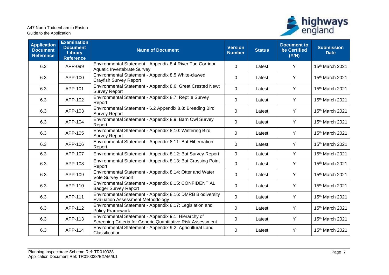

| <b>Application</b><br><b>Document</b><br><b>Reference</b> | <b>Examination</b><br><b>Document</b><br><b>Library</b><br><b>Reference</b> | <b>Name of Document</b>                                                                                             | <b>Version</b><br><b>Number</b> | <b>Status</b> | <b>Document to</b><br>be Certified<br>(Y/N) | <b>Submission</b><br><b>Date</b> |
|-----------------------------------------------------------|-----------------------------------------------------------------------------|---------------------------------------------------------------------------------------------------------------------|---------------------------------|---------------|---------------------------------------------|----------------------------------|
| 6.3                                                       | APP-099                                                                     | Environmental Statement - Appendix 8.4 River Tud Corridor<br>Aquatic Invertebrate Survey                            | 0                               | Latest        | Y                                           | 15th March 2021                  |
| 6.3                                                       | APP-100                                                                     | Environmental Statement - Appendix 8.5 White-clawed<br><b>Crayfish Survey Report</b>                                | 0                               | Latest        | Y                                           | 15th March 2021                  |
| 6.3                                                       | APP-101                                                                     | Environmental Statement - Appendix 8.6: Great Crested Newt<br><b>Survey Report</b>                                  | 0                               | Latest        | Y                                           | 15th March 2021                  |
| 6.3                                                       | APP-102                                                                     | Environmental Statement - Appendix 8.7: Reptile Survey<br>Report                                                    | 0                               | Latest        | Y                                           | 15th March 2021                  |
| 6.3                                                       | APP-103                                                                     | Environmental Statement - 6.2 Appendix 8.8: Breeding Bird<br><b>Survey Report</b>                                   | 0                               | Latest        | Y                                           | 15th March 2021                  |
| 6.3                                                       | APP-104                                                                     | Environmental Statement - Appendix 8.9: Barn Owl Survey<br>Report                                                   | 0                               | Latest        | Y                                           | 15th March 2021                  |
| 6.3                                                       | APP-105                                                                     | Environmental Statement - Appendix 8.10: Wintering Bird<br><b>Survey Report</b>                                     | 0                               | Latest        | Y                                           | 15th March 2021                  |
| 6.3                                                       | APP-106                                                                     | Environmental Statement - Appendix 8.11: Bat Hibernation<br>Report                                                  | 0                               | Latest        | Y                                           | 15th March 2021                  |
| 6.3                                                       | APP-107                                                                     | Environmental Statement - Appendix 8.12: Bat Survey Report                                                          | 0                               | Latest        | Y                                           | 15th March 2021                  |
| 6.3                                                       | APP-108                                                                     | Environmental Statement - Appendix 8.13: Bat Crossing Point<br>Report                                               | 0                               | Latest        | Y                                           | 15th March 2021                  |
| 6.3                                                       | APP-109                                                                     | Environmental Statement - Appendix 8.14: Otter and Water<br>Vole Survey Report                                      | 0                               | Latest        | Y                                           | 15th March 2021                  |
| 6.3                                                       | APP-110                                                                     | Environmental Statement - Appendix 8.15: CONFIDENTIAL<br><b>Badger Survey Report</b>                                | $\mathbf 0$                     | Latest        | Y                                           | 15th March 2021                  |
| 6.3                                                       | APP-111                                                                     | Environmental Statement - Appendix 8.16: DMRB Biodiversity<br><b>Evaluation Assessment Methodology</b>              | 0                               | Latest        | Y                                           | 15th March 2021                  |
| 6.3                                                       | APP-112                                                                     | Environmental Statement - Appendix 8.17: Legislation and<br><b>Policy Framework</b>                                 | 0                               | Latest        | Y                                           | 15th March 2021                  |
| 6.3                                                       | APP-113                                                                     | Environmental Statement - Appendix 9.1: Hierarchy of<br>Screening Criteria for Generic Quantitative Risk Assessment | 0                               | Latest        | Y                                           | 15 <sup>th</sup> March 2021      |
| 6.3                                                       | APP-114                                                                     | Environmental Statement - Appendix 9.2: Agricultural Land<br>Classification                                         | 0                               | Latest        | Y                                           | 15th March 2021                  |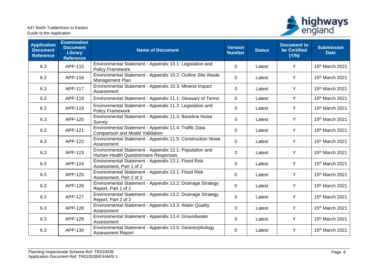

| <b>Application</b><br><b>Document</b><br><b>Reference</b> | <b>Examination</b><br><b>Document</b><br><b>Library</b><br><b>Reference</b> | <b>Name of Document</b>                                                                         | <b>Version</b><br><b>Number</b> | <b>Status</b> | <b>Document to</b><br>be Certified<br>(Y/N) | <b>Submission</b><br><b>Date</b> |
|-----------------------------------------------------------|-----------------------------------------------------------------------------|-------------------------------------------------------------------------------------------------|---------------------------------|---------------|---------------------------------------------|----------------------------------|
| 6.3                                                       | APP-115                                                                     | Environmental Statement - Appendix 10.1: Legislation and<br><b>Policy Framework</b>             | 0                               | Latest        | Y                                           | 15th March 2021                  |
| 6.3                                                       | APP-116                                                                     | Environmental Statement - Appendix 10.2: Outline Site Waste<br>Management Plan                  | 0                               | Latest        | Y                                           | 15th March 2021                  |
| 6.3                                                       | APP-117                                                                     | Environmental Statement - Appendix 10.3: Mineral Impact<br>Assessment                           | 0                               | Latest        | Y                                           | 15th March 2021                  |
| 6.3                                                       | APP-118                                                                     | Environmental Statement - Appendix 11.1: Glossary of Terms                                      | 0                               | Latest        | Y                                           | 15th March 2021                  |
| 6.3                                                       | APP-119                                                                     | Environmental Statement - Appendix 11.2: Legislation and<br><b>Policy Framework</b>             | 0                               | Latest        | Y                                           | 15th March 2021                  |
| 6.3                                                       | APP-120                                                                     | Environmental Statement - Appendix 11.3: Baseline Noise<br>Survey                               | 0                               | Latest        | Y                                           | 15th March 2021                  |
| 6.3                                                       | APP-121                                                                     | Environmental Statement - Appendix 11.4: Traffic Data<br>Comparison and Model Validation        | 0                               | Latest        | Y                                           | 15th March 2021                  |
| 6.3                                                       | APP-122                                                                     | Environmental Statement - Appendix 11.5: Construction Noise<br>Assessment                       | 0                               | Latest        | Y                                           | 15th March 2021                  |
| 6.3                                                       | APP-123                                                                     | Environmental Statement - Appendix 12.1: Population and<br>Human Health Questionnaire Responses | 0                               | Latest        | Y                                           | 15th March 2021                  |
| 6.3                                                       | APP-124                                                                     | Environmental Statement - Appendix 13.1: Flood Risk<br>Assessment, Part 1 of 2                  | 0                               | Latest        | Y                                           | 15th March 2021                  |
| 6.3                                                       | APP-125                                                                     | Environmental Statement - Appendix 13.1: Flood Risk<br>Assessment, Part 2 of 2                  | 0                               | Latest        | Y                                           | 15th March 2021                  |
| 6.3                                                       | APP-126                                                                     | Environmental Statement - Appendix 13.2: Drainage Strategy<br>Report, Part 1 of 2               | 0                               | Latest        | Y                                           | 15th March 2021                  |
| 6.3                                                       | APP-127                                                                     | Environmental Statement - Appendix 13.2: Drainage Strategy<br>Report, Part 2 of 2               | $\mathbf 0$                     | Latest        | Y                                           | 15th March 2021                  |
| 6.3                                                       | APP-128                                                                     | Environmental Statement - Appendix 13.3: Water Quality<br>Assessment                            | 0                               | Latest        | Y                                           | 15th March 2021                  |
| 6.3                                                       | APP-129                                                                     | Environmental Statement - Appendix 13.4: Groundwater<br>Assessment                              | 0                               | Latest        | Y                                           | 15th March 2021                  |
| 6.3                                                       | APP-130                                                                     | Environmental Statement - Appendix 13.5: Geomorphology<br><b>Assessment Report</b>              | 0                               | Latest        | Y                                           | 15th March 2021                  |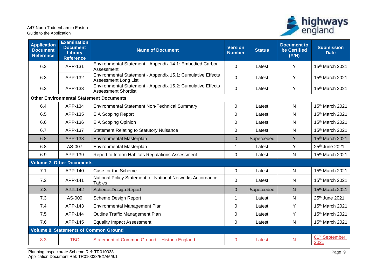

| <b>Application</b><br><b>Document</b><br><b>Reference</b> | <b>Examination</b><br><b>Document</b><br><b>Library</b><br><b>Reference</b> | <b>Name of Document</b>                                                                    | <b>Version</b><br><b>Number</b> | <b>Status</b> | <b>Document to</b><br>be Certified<br>(Y/N) | <b>Submission</b><br><b>Date</b>   |
|-----------------------------------------------------------|-----------------------------------------------------------------------------|--------------------------------------------------------------------------------------------|---------------------------------|---------------|---------------------------------------------|------------------------------------|
| 6.3                                                       | APP-131                                                                     | Environmental Statement - Appendix 14.1: Embodied Carbon<br>Assessment                     | 0                               | Latest        | Y                                           | 15th March 2021                    |
| 6.3                                                       | APP-132                                                                     | Environmental Statement - Appendix 15.1: Cumulative Effects<br><b>Assessment Long List</b> | 0                               | Latest        | Y                                           | 15th March 2021                    |
| 6.3                                                       | APP-133                                                                     | Environmental Statement - Appendix 15.2: Cumulative Effects<br><b>Assessment Shortlist</b> | 0                               | Latest        | Y                                           | 15th March 2021                    |
|                                                           |                                                                             | <b>Other Environmental Statement Documents</b>                                             |                                 |               |                                             |                                    |
| 6.4                                                       | APP-134                                                                     | <b>Environmental Statement Non-Technical Summary</b>                                       | 0                               | Latest        | N                                           | 15th March 2021                    |
| 6.5                                                       | APP-135                                                                     | <b>EIA Scoping Report</b>                                                                  | 0                               | Latest        | N                                           | 15th March 2021                    |
| 6.6                                                       | APP-136                                                                     | <b>EIA Scoping Opinion</b>                                                                 | 0                               | Latest        | $\mathsf{N}$                                | 15th March 2021                    |
| 6.7                                                       | APP-137                                                                     | <b>Statement Relating to Statutory Nuisance</b>                                            | 0                               | Latest        | $\mathsf{N}$                                | 15th March 2021                    |
| 6.8                                                       | APP-138                                                                     | <b>Environmental Masterplan</b>                                                            | $\theta$                        | Superceded    | $\mathsf{Y}$                                | 15 <sup>th</sup> March 2021        |
| 6.8                                                       | AS-007                                                                      | Environmental Masterplan                                                                   | $\mathbf{1}$                    | Latest        | Y                                           | 25th June 2021                     |
| 6.9                                                       | APP-139                                                                     | Report to Inform Habitats Regulations Assessment                                           | $\mathbf 0$                     | Latest        | N                                           | 15th March 2021                    |
|                                                           | <b>Volume 7. Other Documents</b>                                            |                                                                                            |                                 |               |                                             |                                    |
| 7.1                                                       | APP-140                                                                     | Case for the Scheme                                                                        | $\Omega$                        | Latest        | N                                           | 15th March 2021                    |
| 7.2                                                       | APP-141                                                                     | National Policy Statement for National Networks Accordance<br><b>Tables</b>                | 0                               | Latest        | N                                           | 15th March 2021                    |
| 7.3                                                       | APP-142                                                                     | <b>Scheme Design Report</b>                                                                | $\theta$                        | Superceded    | $\overline{M}$                              | 15 <sup>th</sup> March 2021        |
| 7.3                                                       | AS-009                                                                      | <b>Scheme Design Report</b>                                                                | $\mathbf{1}$                    | Latest        | $\mathsf{N}$                                | 25th June 2021                     |
| 7.4                                                       | APP-143                                                                     | Environmental Management Plan                                                              | 0                               | Latest        | Y                                           | 15th March 2021                    |
| 7.5                                                       | APP-144                                                                     | Outline Traffic Management Plan                                                            | 0                               | Latest        | Y                                           | 15th March 2021                    |
| 7.6                                                       | APP-145                                                                     | <b>Equality Impact Assessment</b>                                                          | 0                               | Latest        | $\mathsf{N}$                                | 15th March 2021                    |
|                                                           |                                                                             | <b>Volume 8. Statements of Common Ground</b>                                               |                                 |               |                                             |                                    |
| 8.3                                                       | <b>TBC</b>                                                                  | Statement of Common Ground - Historic England                                              | $\underline{0}$                 | Latest        | $\underline{\mathsf{N}}$                    | 01 <sup>st</sup> September<br>2021 |